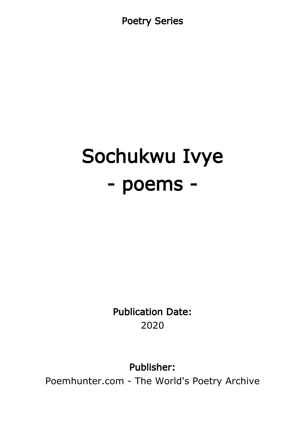Poetry Series

# Sochukwu Ivye - poems -

Publication Date: 2020

Publisher:

Poemhunter.com - The World's Poetry Archive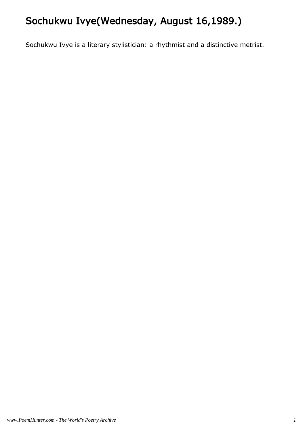# Sochukwu Ivye(Wednesday, August 16,1989.)

Sochukwu Ivye is a literary stylistician: a rhythmist and a distinctive metrist.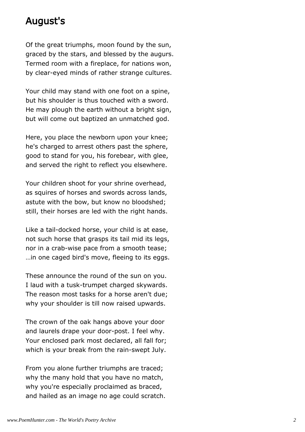### August's

Of the great triumphs, moon found by the sun, graced by the stars, and blessed by the augurs. Termed room with a fireplace, for nations won, by clear-eyed minds of rather strange cultures.

Your child may stand with one foot on a spine, but his shoulder is thus touched with a sword. He may plough the earth without a bright sign, but will come out baptized an unmatched god.

Here, you place the newborn upon your knee; he's charged to arrest others past the sphere, good to stand for you, his forebear, with glee, and served the right to reflect you elsewhere.

Your children shoot for your shrine overhead, as squires of horses and swords across lands, astute with the bow, but know no bloodshed; still, their horses are led with the right hands.

Like a tail-docked horse, your child is at ease, not such horse that grasps its tail mid its legs, nor in a crab-wise pace from a smooth tease; …in one caged bird's move, fleeing to its eggs.

These announce the round of the sun on you. I laud with a tusk-trumpet charged skywards. The reason most tasks for a horse aren't due; why your shoulder is till now raised upwards.

The crown of the oak hangs above your door and laurels drape your door-post. I feel why. Your enclosed park most declared, all fall for; which is your break from the rain-swept July.

From you alone further triumphs are traced; why the many hold that you have no match, why you're especially proclaimed as braced, and hailed as an image no age could scratch.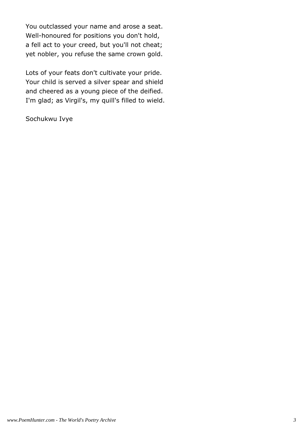You outclassed your name and arose a seat. Well-honoured for positions you don't hold, a fell act to your creed, but you'll not cheat; yet nobler, you refuse the same crown gold.

Lots of your feats don't cultivate your pride. Your child is served a silver spear and shield and cheered as a young piece of the deified. I'm glad; as Virgil's, my quill's filled to wield.

Sochukwu Ivye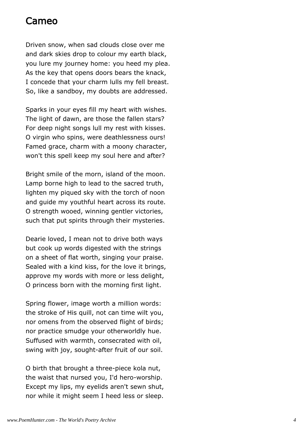#### Cameo

Driven snow, when sad clouds close over me and dark skies drop to colour my earth black, you lure my journey home: you heed my plea. As the key that opens doors bears the knack, I concede that your charm lulls my fell breast. So, like a sandboy, my doubts are addressed.

Sparks in your eyes fill my heart with wishes. The light of dawn, are those the fallen stars? For deep night songs lull my rest with kisses. O virgin who spins, were deathlessness ours! Famed grace, charm with a moony character, won't this spell keep my soul here and after?

Bright smile of the morn, island of the moon. Lamp borne high to lead to the sacred truth, lighten my piqued sky with the torch of noon and guide my youthful heart across its route. O strength wooed, winning gentler victories, such that put spirits through their mysteries.

Dearie loved, I mean not to drive both ways but cook up words digested with the strings on a sheet of flat worth, singing your praise. Sealed with a kind kiss, for the love it brings, approve my words with more or less delight, O princess born with the morning first light.

Spring flower, image worth a million words: the stroke of His quill, not can time wilt you, nor omens from the observed flight of birds; nor practice smudge your otherworldly hue. Suffused with warmth, consecrated with oil, swing with joy, sought-after fruit of our soil.

O birth that brought a three-piece kola nut, the waist that nursed you, I'd hero-worship. Except my lips, my eyelids aren't sewn shut, nor while it might seem I heed less or sleep.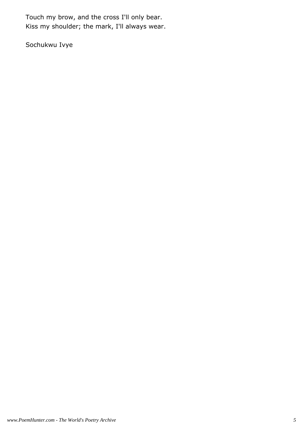Touch my brow, and the cross I'll only bear. Kiss my shoulder; the mark, I'll always wear.

Sochukwu Ivye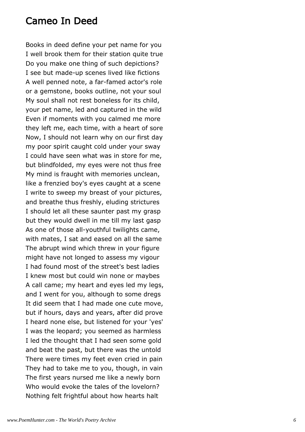#### Cameo In Deed

Books in deed define your pet name for you I well brook them for their station quite true Do you make one thing of such depictions? I see but made-up scenes lived like fictions A well penned note, a far-famed actor's role or a gemstone, books outline, not your soul My soul shall not rest boneless for its child, your pet name, led and captured in the wild Even if moments with you calmed me more they left me, each time, with a heart of sore Now, I should not learn why on our first day my poor spirit caught cold under your sway I could have seen what was in store for me, but blindfolded, my eyes were not thus free My mind is fraught with memories unclean, like a frenzied boy's eyes caught at a scene I write to sweep my breast of your pictures, and breathe thus freshly, eluding strictures I should let all these saunter past my grasp but they would dwell in me till my last gasp As one of those all-youthful twilights came, with mates, I sat and eased on all the same The abrupt wind which threw in your figure might have not longed to assess my vigour I had found most of the street's best ladies I knew most but could win none or maybes A call came; my heart and eyes led my legs, and I went for you, although to some dregs It did seem that I had made one cute move, but if hours, days and years, after did prove I heard none else, but listened for your 'yes' I was the leopard; you seemed as harmless I led the thought that I had seen some gold and beat the past, but there was the untold There were times my feet even cried in pain They had to take me to you, though, in vain The first years nursed me like a newly born Who would evoke the tales of the lovelorn? Nothing felt frightful about how hearts halt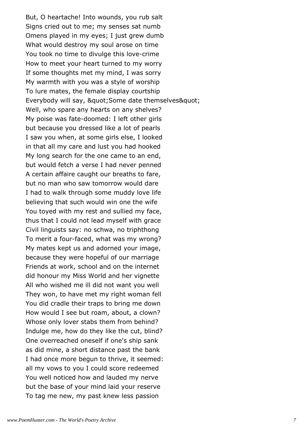But, O heartache! Into wounds, you rub salt Signs cried out to me; my senses sat numb Omens played in my eyes; I just grew dumb What would destroy my soul arose on time You took no time to divulge this love-crime How to meet your heart turned to my worry If some thoughts met my mind, I was sorry My warmth with you was a style of worship To lure mates, the female display courtship Everybody will say, " Some date themselves " Well, who spare any hearts on any shelves? My poise was fate-doomed: I left other girls but because you dressed like a lot of pearls I saw you when, at some girls else, I looked in that all my care and lust you had hooked My long search for the one came to an end, but would fetch a verse I had never penned A certain affaire caught our breaths to fare, but no man who saw tomorrow would dare I had to walk through some muddy love life believing that such would win one the wife You toyed with my rest and sullied my face, thus that I could not lead myself with grace Civil linguists say: no schwa, no triphthong To merit a four-faced, what was my wrong? My mates kept us and adorned your image, because they were hopeful of our marriage Friends at work, school and on the internet did honour my Miss World and her vignette All who wished me ill did not want you well They won, to have met my right woman fell You did cradle their traps to bring me down How would I see but roam, about, a clown? Whose only lover stabs them from behind? Indulge me, how do they like the cut, blind? One overreached oneself if one's ship sank as did mine, a short distance past the bank I had once more begun to thrive, it seemed: all my vows to you I could score redeemed You well noticed how and lauded my nerve but the base of your mind laid your reserve To tag me new, my past knew less passion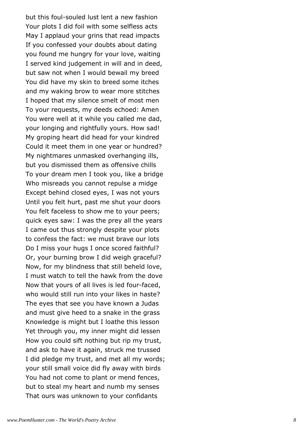but this foul-souled lust lent a new fashion Your plots I did foil with some selfless acts May I applaud your grins that read impacts If you confessed your doubts about dating you found me hungry for your love, waiting I served kind judgement in will and in deed, but saw not when I would bewail my breed You did have my skin to breed some itches and my waking brow to wear more stitches I hoped that my silence smelt of most men To your requests, my deeds echoed: Amen You were well at it while you called me dad, your longing and rightfully yours. How sad! My groping heart did head for your kindred Could it meet them in one year or hundred? My nightmares unmasked overhanging ills, but you dismissed them as offensive chills To your dream men I took you, like a bridge Who misreads you cannot repulse a midge Except behind closed eyes, I was not yours Until you felt hurt, past me shut your doors You felt faceless to show me to your peers; quick eyes saw: I was the prey all the years I came out thus strongly despite your plots to confess the fact: we must brave our lots Do I miss your hugs I once scored faithful? Or, your burning brow I did weigh graceful? Now, for my blindness that still beheld love, I must watch to tell the hawk from the dove Now that yours of all lives is led four-faced, who would still run into your likes in haste? The eyes that see you have known a Judas and must give heed to a snake in the grass Knowledge is might but I loathe this lesson Yet through you, my inner might did lessen How you could sift nothing but rip my trust, and ask to have it again, struck me trussed I did pledge my trust, and met all my words; your still small voice did fly away with birds You had not come to plant or mend fences, but to steal my heart and numb my senses That ours was unknown to your confidants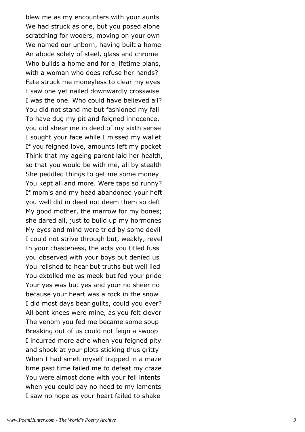blew me as my encounters with your aunts We had struck as one, but you posed alone scratching for wooers, moving on your own We named our unborn, having built a home An abode solely of steel, glass and chrome Who builds a home and for a lifetime plans, with a woman who does refuse her hands? Fate struck me moneyless to clear my eyes I saw one yet nailed downwardly crosswise I was the one. Who could have believed all? You did not stand me but fashioned my fall To have dug my pit and feigned innocence, you did shear me in deed of my sixth sense I sought your face while I missed my wallet If you feigned love, amounts left my pocket Think that my ageing parent laid her health, so that you would be with me, all by stealth She peddled things to get me some money You kept all and more. Were taps so runny? If mom's and my head abandoned your heft you well did in deed not deem them so deft My good mother, the marrow for my bones; she dared all, just to build up my hormones My eyes and mind were tried by some devil I could not strive through but, weakly, revel In your chasteness, the acts you titled fuss you observed with your boys but denied us You relished to hear but truths but well lied You extolled me as meek but fed your pride Your yes was but yes and your no sheer no because your heart was a rock in the snow I did most days bear guilts, could you ever? All bent knees were mine, as you felt clever The venom you fed me became some soup Breaking out of us could not feign a swoop I incurred more ache when you feigned pity and shook at your plots sticking thus gritty When I had smelt myself trapped in a maze time past time failed me to defeat my craze You were almost done with your fell intents when you could pay no heed to my laments I saw no hope as your heart failed to shake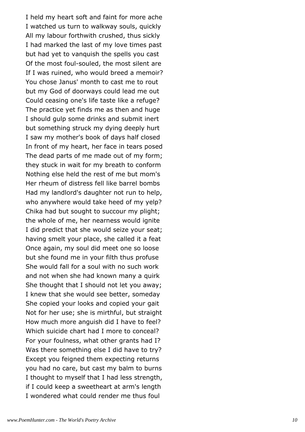I held my heart soft and faint for more ache I watched us turn to walkway souls, quickly All my labour forthwith crushed, thus sickly I had marked the last of my love times past but had yet to vanquish the spells you cast Of the most foul-souled, the most silent are If I was ruined, who would breed a memoir? You chose Janus' month to cast me to rout but my God of doorways could lead me out Could ceasing one's life taste like a refuge? The practice yet finds me as then and huge I should gulp some drinks and submit inert but something struck my dying deeply hurt I saw my mother's book of days half closed In front of my heart, her face in tears posed The dead parts of me made out of my form; they stuck in wait for my breath to conform Nothing else held the rest of me but mom's Her rheum of distress fell like barrel bombs Had my landlord's daughter not run to help, who anywhere would take heed of my yelp? Chika had but sought to succour my plight; the whole of me, her nearness would ignite I did predict that she would seize your seat; having smelt your place, she called it a feat Once again, my soul did meet one so loose but she found me in your filth thus profuse She would fall for a soul with no such work and not when she had known many a quirk She thought that I should not let you away; I knew that she would see better, someday She copied your looks and copied your gait Not for her use; she is mirthful, but straight How much more anguish did I have to feel? Which suicide chart had I more to conceal? For your foulness, what other grants had I? Was there something else I did have to try? Except you feigned them expecting returns you had no care, but cast my balm to burns I thought to myself that I had less strength, if I could keep a sweetheart at arm's length I wondered what could render me thus foul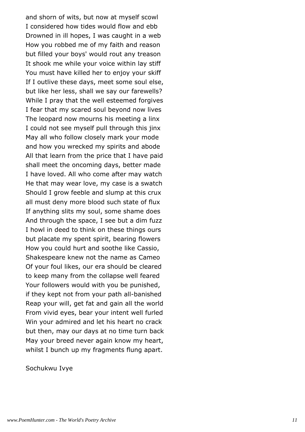and shorn of wits, but now at myself scowl I considered how tides would flow and ebb Drowned in ill hopes, I was caught in a web How you robbed me of my faith and reason but filled your boys' would rout any treason It shook me while your voice within lay stiff You must have killed her to enjoy your skiff If I outlive these days, meet some soul else, but like her less, shall we say our farewells? While I pray that the well esteemed forgives I fear that my scared soul beyond now lives The leopard now mourns his meeting a linx I could not see myself pull through this jinx May all who follow closely mark your mode and how you wrecked my spirits and abode All that learn from the price that I have paid shall meet the oncoming days, better made I have loved. All who come after may watch He that may wear love, my case is a swatch Should I grow feeble and slump at this crux all must deny more blood such state of flux If anything slits my soul, some shame does And through the space, I see but a dim fuzz I howl in deed to think on these things ours but placate my spent spirit, bearing flowers How you could hurt and soothe like Cassio, Shakespeare knew not the name as Cameo Of your foul likes, our era should be cleared to keep many from the collapse well feared Your followers would with you be punished, if they kept not from your path all-banished Reap your will, get fat and gain all the world From vivid eyes, bear your intent well furled Win your admired and let his heart no crack but then, may our days at no time turn back May your breed never again know my heart, whilst I bunch up my fragments flung apart.

Sochukwu Ivye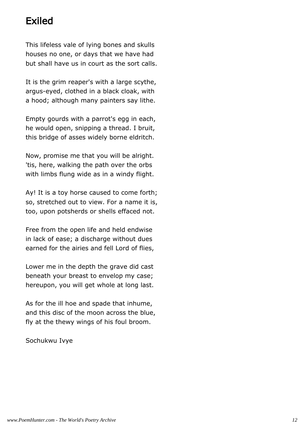# Exiled

This lifeless vale of lying bones and skulls houses no one, or days that we have had but shall have us in court as the sort calls.

It is the grim reaper's with a large scythe, argus-eyed, clothed in a black cloak, with a hood; although many painters say lithe.

Empty gourds with a parrot's egg in each, he would open, snipping a thread. I bruit, this bridge of asses widely borne eldritch.

Now, promise me that you will be alright. 'tis, here, walking the path over the orbs with limbs flung wide as in a windy flight.

Ay! It is a toy horse caused to come forth; so, stretched out to view. For a name it is, too, upon potsherds or shells effaced not.

Free from the open life and held endwise in lack of ease; a discharge without dues earned for the airies and fell Lord of flies,

Lower me in the depth the grave did cast beneath your breast to envelop my case; hereupon, you will get whole at long last.

As for the ill hoe and spade that inhume, and this disc of the moon across the blue, fly at the thewy wings of his foul broom.

Sochukwu Ivye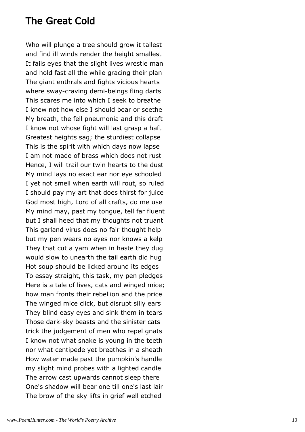## The Great Cold

Who will plunge a tree should grow it tallest and find ill winds render the height smallest It fails eyes that the slight lives wrestle man and hold fast all the while gracing their plan The giant enthrals and fights vicious hearts where sway-craving demi-beings fling darts This scares me into which I seek to breathe I knew not how else I should bear or seethe My breath, the fell pneumonia and this draft I know not whose fight will last grasp a haft Greatest heights sag; the sturdiest collapse This is the spirit with which days now lapse I am not made of brass which does not rust Hence, I will trail our twin hearts to the dust My mind lays no exact ear nor eye schooled I yet not smell when earth will rout, so ruled I should pay my art that does thirst for juice God most high, Lord of all crafts, do me use My mind may, past my tongue, tell far fluent but I shall heed that my thoughts not truant This garland virus does no fair thought help but my pen wears no eyes nor knows a kelp They that cut a yam when in haste they dug would slow to unearth the tail earth did hug Hot soup should be licked around its edges To essay straight, this task, my pen pledges Here is a tale of lives, cats and winged mice; how man fronts their rebellion and the price The winged mice click, but disrupt silly ears They blind easy eyes and sink them in tears Those dark-sky beasts and the sinister cats trick the judgement of men who repel gnats I know not what snake is young in the teeth nor what centipede yet breathes in a sheath How water made past the pumpkin's handle my slight mind probes with a lighted candle The arrow cast upwards cannot sleep there One's shadow will bear one till one's last lair The brow of the sky lifts in grief well etched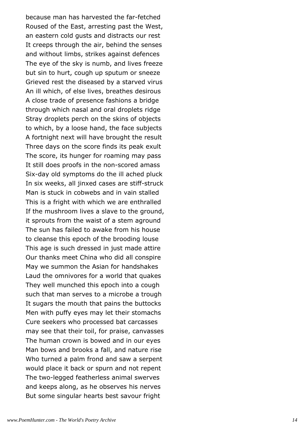because man has harvested the far-fetched Roused of the East, arresting past the West, an eastern cold gusts and distracts our rest It creeps through the air, behind the senses and without limbs, strikes against defences The eye of the sky is numb, and lives freeze but sin to hurt, cough up sputum or sneeze Grieved rest the diseased by a starved virus An ill which, of else lives, breathes desirous A close trade of presence fashions a bridge through which nasal and oral droplets ridge Stray droplets perch on the skins of objects to which, by a loose hand, the face subjects A fortnight next will have brought the result Three days on the score finds its peak exult The score, its hunger for roaming may pass It still does proofs in the non-scored amass Six-day old symptoms do the ill ached pluck In six weeks, all jinxed cases are stiff-struck Man is stuck in cobwebs and in vain stalled This is a fright with which we are enthralled If the mushroom lives a slave to the ground, it sprouts from the waist of a stem aground The sun has failed to awake from his house to cleanse this epoch of the brooding louse This age is such dressed in just made attire Our thanks meet China who did all conspire May we summon the Asian for handshakes Laud the omnivores for a world that quakes They well munched this epoch into a cough such that man serves to a microbe a trough It sugars the mouth that pains the buttocks Men with puffy eyes may let their stomachs Cure seekers who processed bat carcasses may see that their toil, for praise, canvasses The human crown is bowed and in our eyes Man bows and brooks a fall, and nature rise Who turned a palm frond and saw a serpent would place it back or spurn and not repent The two-legged featherless animal swerves and keeps along, as he observes his nerves But some singular hearts best savour fright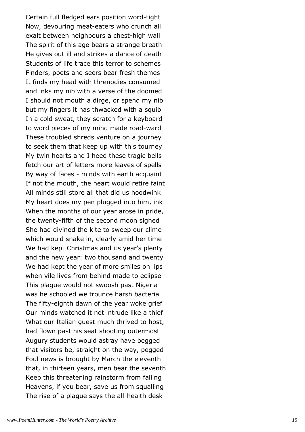Certain full fledged ears position word-tight Now, devouring meat-eaters who crunch all exalt between neighbours a chest-high wall The spirit of this age bears a strange breath He gives out ill and strikes a dance of death Students of life trace this terror to schemes Finders, poets and seers bear fresh themes It finds my head with threnodies consumed and inks my nib with a verse of the doomed I should not mouth a dirge, or spend my nib but my fingers it has thwacked with a squib In a cold sweat, they scratch for a keyboard to word pieces of my mind made road-ward These troubled shreds venture on a journey to seek them that keep up with this tourney My twin hearts and I heed these tragic bells fetch our art of letters more leaves of spells By way of faces - minds with earth acquaint If not the mouth, the heart would retire faint All minds still store all that did us hoodwink My heart does my pen plugged into him, ink When the months of our year arose in pride, the twenty-fifth of the second moon sighed She had divined the kite to sweep our clime which would snake in, clearly amid her time We had kept Christmas and its year's plenty and the new year: two thousand and twenty We had kept the year of more smiles on lips when vile lives from behind made to eclipse This plague would not swoosh past Nigeria was he schooled we trounce harsh bacteria The fifty-eighth dawn of the year woke grief Our minds watched it not intrude like a thief What our Italian guest much thrived to host, had flown past his seat shooting outermost Augury students would astray have begged that visitors be, straight on the way, pegged Foul news is brought by March the eleventh that, in thirteen years, men bear the seventh Keep this threatening rainstorm from falling Heavens, if you bear, save us from squalling The rise of a plague says the all-health desk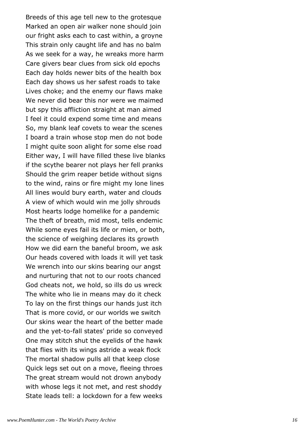Breeds of this age tell new to the grotesque Marked an open air walker none should join our fright asks each to cast within, a groyne This strain only caught life and has no balm As we seek for a way, he wreaks more harm Care givers bear clues from sick old epochs Each day holds newer bits of the health box Each day shows us her safest roads to take Lives choke; and the enemy our flaws make We never did bear this nor were we maimed but spy this affliction straight at man aimed I feel it could expend some time and means So, my blank leaf covets to wear the scenes I board a train whose stop men do not bode I might quite soon alight for some else road Either way, I will have filled these live blanks if the scythe bearer not plays her fell pranks Should the grim reaper betide without signs to the wind, rains or fire might my lone lines All lines would bury earth, water and clouds A view of which would win me jolly shrouds Most hearts lodge homelike for a pandemic The theft of breath, mid most, tells endemic While some eyes fail its life or mien, or both, the science of weighing declares its growth How we did earn the baneful broom, we ask Our heads covered with loads it will yet task We wrench into our skins bearing our angst and nurturing that not to our roots chanced God cheats not, we hold, so ills do us wreck The white who lie in means may do it check To lay on the first things our hands just itch That is more covid, or our worlds we switch Our skins wear the heart of the better made and the yet-to-fall states' pride so conveyed One may stitch shut the eyelids of the hawk that flies with its wings astride a weak flock The mortal shadow pulls all that keep close Quick legs set out on a move, fleeing throes The great stream would not drown anybody with whose legs it not met, and rest shoddy State leads tell: a lockdown for a few weeks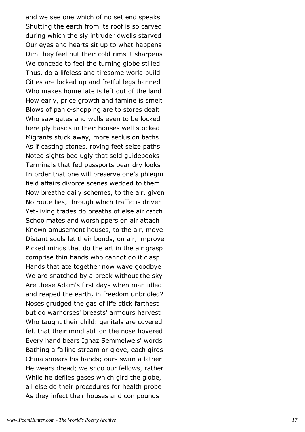and we see one which of no set end speaks Shutting the earth from its roof is so carved during which the sly intruder dwells starved Our eyes and hearts sit up to what happens Dim they feel but their cold rims it sharpens We concede to feel the turning globe stilled Thus, do a lifeless and tiresome world build Cities are locked up and fretful legs banned Who makes home late is left out of the land How early, price growth and famine is smelt Blows of panic-shopping are to stores dealt Who saw gates and walls even to be locked here ply basics in their houses well stocked Migrants stuck away, more seclusion baths As if casting stones, roving feet seize paths Noted sights bed ugly that sold guidebooks Terminals that fed passports bear dry looks In order that one will preserve one's phlegm field affairs divorce scenes wedded to them Now breathe daily schemes, to the air, given No route lies, through which traffic is driven Yet-living trades do breaths of else air catch Schoolmates and worshippers on air attach Known amusement houses, to the air, move Distant souls let their bonds, on air, improve Picked minds that do the art in the air grasp comprise thin hands who cannot do it clasp Hands that ate together now wave goodbye We are snatched by a break without the sky Are these Adam's first days when man idled and reaped the earth, in freedom unbridled? Noses grudged the gas of life stick farthest but do warhorses' breasts' armours harvest Who taught their child: genitals are covered felt that their mind still on the nose hovered Every hand bears Ignaz Semmelweis' words Bathing a falling stream or glove, each girds China smears his hands; ours swim a lather He wears dread; we shoo our fellows, rather While he defiles gases which gird the globe, all else do their procedures for health probe As they infect their houses and compounds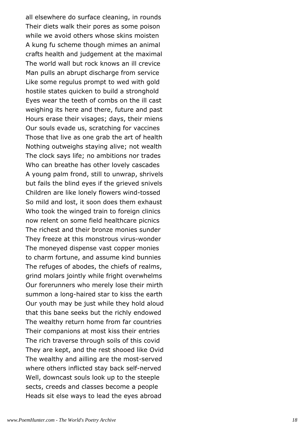all elsewhere do surface cleaning, in rounds Their diets walk their pores as some poison while we avoid others whose skins moisten A kung fu scheme though mimes an animal crafts health and judgement at the maximal The world wall but rock knows an ill crevice Man pulls an abrupt discharge from service Like some regulus prompt to wed with gold hostile states quicken to build a stronghold Eyes wear the teeth of combs on the ill cast weighing its here and there, future and past Hours erase their visages; days, their miens Our souls evade us, scratching for vaccines Those that live as one grab the art of health Nothing outweighs staying alive; not wealth The clock says life; no ambitions nor trades Who can breathe has other lovely cascades A young palm frond, still to unwrap, shrivels but fails the blind eyes if the grieved snivels Children are like lonely flowers wind-tossed So mild and lost, it soon does them exhaust Who took the winged train to foreign clinics now relent on some field healthcare picnics The richest and their bronze monies sunder They freeze at this monstrous virus-wonder The moneyed dispense vast copper monies to charm fortune, and assume kind bunnies The refuges of abodes, the chiefs of realms, grind molars jointly while fright overwhelms Our forerunners who merely lose their mirth summon a long-haired star to kiss the earth Our youth may be just while they hold aloud that this bane seeks but the richly endowed The wealthy return home from far countries Their companions at most kiss their entries The rich traverse through soils of this covid They are kept, and the rest shooed like Ovid The wealthy and ailling are the most-served where others inflicted stay back self-nerved Well, downcast souls look up to the steeple sects, creeds and classes become a people Heads sit else ways to lead the eyes abroad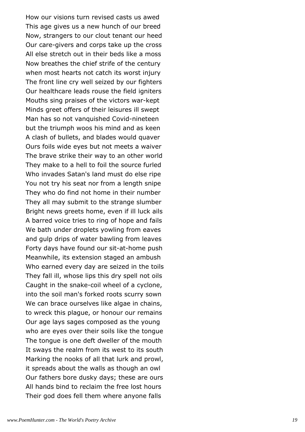How our visions turn revised casts us awed This age gives us a new hunch of our breed Now, strangers to our clout tenant our heed Our care-givers and corps take up the cross All else stretch out in their beds like a moss Now breathes the chief strife of the century when most hearts not catch its worst injury The front line cry well seized by our fighters Our healthcare leads rouse the field igniters Mouths sing praises of the victors war-kept Minds greet offers of their leisures ill swept Man has so not vanquished Covid-nineteen but the triumph woos his mind and as keen A clash of bullets, and blades would quaver Ours foils wide eyes but not meets a waiver The brave strike their way to an other world They make to a hell to foil the source furled Who invades Satan's land must do else ripe You not try his seat nor from a length snipe They who do find not home in their number They all may submit to the strange slumber Bright news greets home, even if ill luck ails A barred voice tries to ring of hope and fails We bath under droplets yowling from eaves and gulp drips of water bawling from leaves Forty days have found our sit-at-home push Meanwhile, its extension staged an ambush Who earned every day are seized in the toils They fall ill, whose lips this dry spell not oils Caught in the snake-coil wheel of a cyclone, into the soil man's forked roots scurry sown We can brace ourselves like algae in chains, to wreck this plague, or honour our remains Our age lays sages composed as the young who are eyes over their soils like the tongue The tongue is one deft dweller of the mouth It sways the realm from its west to its south Marking the nooks of all that lurk and prowl, it spreads about the walls as though an owl Our fathers bore dusky days; these are ours All hands bind to reclaim the free lost hours Their god does fell them where anyone falls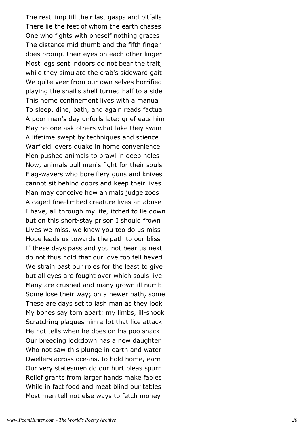The rest limp till their last gasps and pitfalls There lie the feet of whom the earth chases One who fights with oneself nothing graces The distance mid thumb and the fifth finger does prompt their eyes on each other linger Most legs sent indoors do not bear the trait, while they simulate the crab's sideward gait We quite veer from our own selves horrified playing the snail's shell turned half to a side This home confinement lives with a manual To sleep, dine, bath, and again reads factual A poor man's day unfurls late; grief eats him May no one ask others what lake they swim A lifetime swept by techniques and science Warfield lovers quake in home convenience Men pushed animals to brawl in deep holes Now, animals pull men's fight for their souls Flag-wavers who bore fiery guns and knives cannot sit behind doors and keep their lives Man may conceive how animals judge zoos A caged fine-limbed creature lives an abuse I have, all through my life, itched to lie down but on this short-stay prison I should frown Lives we miss, we know you too do us miss Hope leads us towards the path to our bliss If these days pass and you not bear us next do not thus hold that our love too fell hexed We strain past our roles for the least to give but all eyes are fought over which souls live Many are crushed and many grown ill numb Some lose their way; on a newer path, some These are days set to lash man as they look My bones say torn apart; my limbs, ill-shook Scratching plagues him a lot that lice attack He not tells when he does on his poo snack Our breeding lockdown has a new daughter Who not saw this plunge in earth and water Dwellers across oceans, to hold home, earn Our very statesmen do our hurt pleas spurn Relief grants from larger hands make fables While in fact food and meat blind our tables Most men tell not else ways to fetch money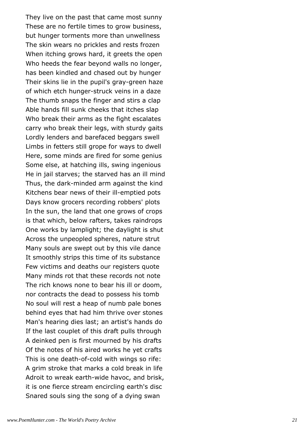They live on the past that came most sunny These are no fertile times to grow business, but hunger torments more than unwellness The skin wears no prickles and rests frozen When itching grows hard, it greets the open Who heeds the fear beyond walls no longer, has been kindled and chased out by hunger Their skins lie in the pupil's gray-green haze of which etch hunger-struck veins in a daze The thumb snaps the finger and stirs a clap Able hands fill sunk cheeks that itches slap Who break their arms as the fight escalates carry who break their legs, with sturdy gaits Lordly lenders and barefaced beggars swell Limbs in fetters still grope for ways to dwell Here, some minds are fired for some genius Some else, at hatching ills, swing ingenious He in jail starves; the starved has an ill mind Thus, the dark-minded arm against the kind Kitchens bear news of their ill-emptied pots Days know grocers recording robbers' plots In the sun, the land that one grows of crops is that which, below rafters, takes raindrops One works by lamplight; the daylight is shut Across the unpeopled spheres, nature strut Many souls are swept out by this vile dance It smoothly strips this time of its substance Few victims and deaths our registers quote Many minds rot that these records not note The rich knows none to bear his ill or doom, nor contracts the dead to possess his tomb No soul will rest a heap of numb pale bones behind eyes that had him thrive over stones Man's hearing dies last; an artist's hands do If the last couplet of this draft pulls through A deinked pen is first mourned by his drafts Of the notes of his aired works he yet crafts This is one death-of-cold with wings so rife: A grim stroke that marks a cold break in life Adroit to wreak earth-wide havoc, and brisk, it is one fierce stream encircling earth's disc Snared souls sing the song of a dying swan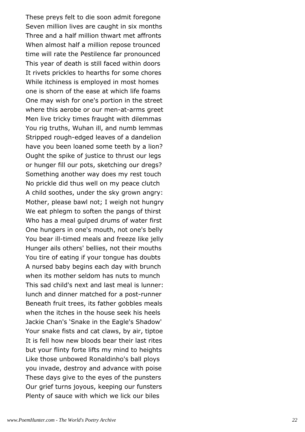These preys felt to die soon admit foregone Seven million lives are caught in six months Three and a half million thwart met affronts When almost half a million repose trounced time will rate the Pestilence far pronounced This year of death is still faced within doors It rivets prickles to hearths for some chores While itchiness is employed in most homes one is shorn of the ease at which life foams One may wish for one's portion in the street where this aerobe or our men-at-arms greet Men live tricky times fraught with dilemmas You rig truths, Wuhan ill, and numb lemmas Stripped rough-edged leaves of a dandelion have you been loaned some teeth by a lion? Ought the spike of justice to thrust our legs or hunger fill our pots, sketching our dregs? Something another way does my rest touch No prickle did thus well on my peace clutch A child soothes, under the sky grown angry: Mother, please bawl not; I weigh not hungry We eat phlegm to soften the pangs of thirst Who has a meal gulped drums of water first One hungers in one's mouth, not one's belly You bear ill-timed meals and freeze like jelly Hunger ails others' bellies, not their mouths You tire of eating if your tongue has doubts A nursed baby begins each day with brunch when its mother seldom has nuts to munch This sad child's next and last meal is lunner: lunch and dinner matched for a post-runner Beneath fruit trees, its father gobbles meals when the itches in the house seek his heels Jackie Chan's 'Snake in the Eagle's Shadow' Your snake fists and cat claws, by air, tiptoe It is fell how new bloods bear their last rites but your flinty forte lifts my mind to heights Like those unbowed Ronaldinho's ball ploys you invade, destroy and advance with poise These days give to the eyes of the punsters Our grief turns joyous, keeping our funsters Plenty of sauce with which we lick our biles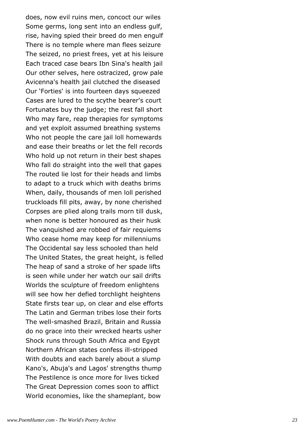does, now evil ruins men, concoct our wiles Some germs, long sent into an endless gulf, rise, having spied their breed do men engulf There is no temple where man flees seizure The seized, no priest frees, yet at his leisure Each traced case bears Ibn Sina's health jail Our other selves, here ostracized, grow pale Avicenna's health jail clutched the diseased Our 'Forties' is into fourteen days squeezed Cases are lured to the scythe bearer's court Fortunates buy the judge; the rest fall short Who may fare, reap therapies for symptoms and yet exploit assumed breathing systems Who not people the care jail loll homewards and ease their breaths or let the fell records Who hold up not return in their best shapes Who fall do straight into the well that gapes The routed lie lost for their heads and limbs to adapt to a truck which with deaths brims When, daily, thousands of men loll perished truckloads fill pits, away, by none cherished Corpses are plied along trails morn till dusk, when none is better honoured as their husk The vanquished are robbed of fair requiems Who cease home may keep for millenniums The Occidental say less schooled than held The United States, the great height, is felled The heap of sand a stroke of her spade lifts is seen while under her watch our sail drifts Worlds the sculpture of freedom enlightens will see how her defied torchlight heightens State firsts tear up, on clear and else efforts The Latin and German tribes lose their forts The well-smashed Brazil, Britain and Russia do no grace into their wrecked hearts usher Shock runs through South Africa and Egypt Northern African states confess ill-stripped With doubts and each barely about a slump Kano's, Abuja's and Lagos' strengths thump The Pestilence is once more for lives ticked The Great Depression comes soon to afflict World economies, like the shameplant, bow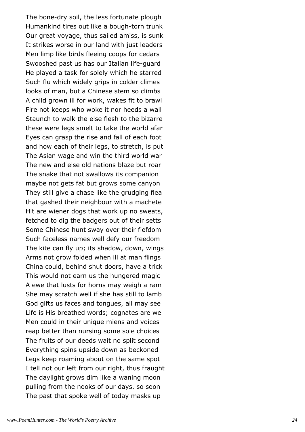The bone-dry soil, the less fortunate plough Humankind tires out like a bough-torn trunk Our great voyage, thus sailed amiss, is sunk It strikes worse in our land with just leaders Men limp like birds fleeing coops for cedars Swooshed past us has our Italian life-guard He played a task for solely which he starred Such flu which widely grips in colder climes looks of man, but a Chinese stem so climbs A child grown ill for work, wakes fit to brawl Fire not keeps who woke it nor heeds a wall Staunch to walk the else flesh to the bizarre these were legs smelt to take the world afar Eyes can grasp the rise and fall of each foot and how each of their legs, to stretch, is put The Asian wage and win the third world war The new and else old nations blaze but roar The snake that not swallows its companion maybe not gets fat but grows some canyon They still give a chase like the grudging flea that gashed their neighbour with a machete Hit are wiener dogs that work up no sweats, fetched to dig the badgers out of their setts Some Chinese hunt sway over their fiefdom Such faceless names well defy our freedom The kite can fly up; its shadow, down, wings Arms not grow folded when ill at man flings China could, behind shut doors, have a trick This would not earn us the hungered magic A ewe that lusts for horns may weigh a ram She may scratch well if she has still to lamb God gifts us faces and tongues, all may see Life is His breathed words; cognates are we Men could in their unique miens and voices reap better than nursing some sole choices The fruits of our deeds wait no split second Everything spins upside down as beckoned Legs keep roaming about on the same spot I tell not our left from our right, thus fraught The daylight grows dim like a waning moon pulling from the nooks of our days, so soon The past that spoke well of today masks up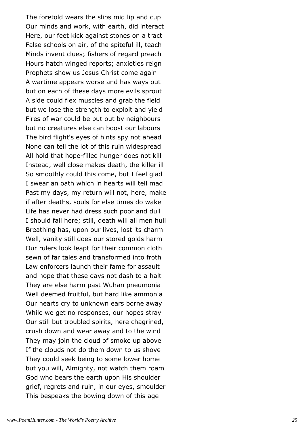The foretold wears the slips mid lip and cup Our minds and work, with earth, did interact Here, our feet kick against stones on a tract False schools on air, of the spiteful ill, teach Minds invent clues; fishers of regard preach Hours hatch winged reports; anxieties reign Prophets show us Jesus Christ come again A wartime appears worse and has ways out but on each of these days more evils sprout A side could flex muscles and grab the field but we lose the strength to exploit and yield Fires of war could be put out by neighbours but no creatures else can boost our labours The bird flight's eyes of hints spy not ahead None can tell the lot of this ruin widespread All hold that hope-filled hunger does not kill Instead, well close makes death, the killer ill So smoothly could this come, but I feel glad I swear an oath which in hearts will tell mad Past my days, my return will not, here, make if after deaths, souls for else times do wake Life has never had dress such poor and dull I should fall here; still, death will all men hull Breathing has, upon our lives, lost its charm Well, vanity still does our stored golds harm Our rulers look leapt for their common cloth sewn of far tales and transformed into froth Law enforcers launch their fame for assault and hope that these days not dash to a halt They are else harm past Wuhan pneumonia Well deemed fruitful, but hard like ammonia Our hearts cry to unknown ears borne away While we get no responses, our hopes stray Our still but troubled spirits, here chagrined, crush down and wear away and to the wind They may join the cloud of smoke up above If the clouds not do them down to us shove They could seek being to some lower home but you will, Almighty, not watch them roam God who bears the earth upon His shoulder grief, regrets and ruin, in our eyes, smoulder This bespeaks the bowing down of this age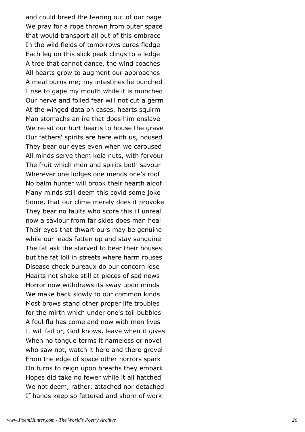and could breed the tearing out of our page We pray for a rope thrown from outer space that would transport all out of this embrace In the wild fields of tomorrows cures fledge Each leg on this slick peak clings to a ledge A tree that cannot dance, the wind coaches All hearts grow to augment our approaches A meal burns me; my intestines lie bunched I rise to gape my mouth while it is munched Our nerve and foiled fear will not cut a germ At the winged data on cases, hearts squirm Man stomachs an ire that does him enslave We re-sit our hurt hearts to house the grave Our fathers' spirits are here with us, housed They bear our eyes even when we caroused All minds serve them kola nuts, with fervour The fruit which men and spirits both savour Wherever one lodges one mends one's roof No balm hunter will brook their hearth aloof Many minds still deem this covid some joke Some, that our clime merely does it provoke They bear no faults who score this ill unreal now a saviour from far skies does man heal Their eyes that thwart ours may be genuine while our leads fatten up and stay sanguine The fat ask the starved to bear their houses but the fat loll in streets where harm rouses Disease check bureaux do our concern lose Hearts not shake still at pieces of sad news Horror now withdraws its sway upon minds We make back slowly to our common kinds Most brows stand other proper life troubles for the mirth which under one's toil bubbles A foul flu has come and now with men lives It will fail or, God knows, leave when it gives When no tongue terms it nameless or novel who saw not, watch it here and there grovel From the edge of space other horrors spark On turns to reign upon breaths they embark Hopes did take no fewer while it all hatched We not deem, rather, attached nor detached If hands keep so fettered and shorn of work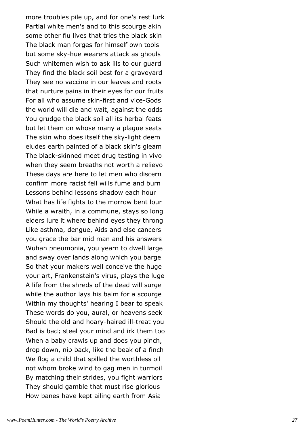more troubles pile up, and for one's rest lurk Partial white men's and to this scourge akin some other flu lives that tries the black skin The black man forges for himself own tools but some sky-hue wearers attack as ghouls Such whitemen wish to ask ills to our guard They find the black soil best for a graveyard They see no vaccine in our leaves and roots that nurture pains in their eyes for our fruits For all who assume skin-first and vice-Gods the world will die and wait, against the odds You grudge the black soil all its herbal feats but let them on whose many a plague seats The skin who does itself the sky-light deem eludes earth painted of a black skin's gleam The black-skinned meet drug testing in vivo when they seem breaths not worth a relievo These days are here to let men who discern confirm more racist fell wills fume and burn Lessons behind lessons shadow each hour What has life fights to the morrow bent lour While a wraith, in a commune, stays so long elders lure it where behind eyes they throng Like asthma, dengue, Aids and else cancers you grace the bar mid man and his answers Wuhan pneumonia, you yearn to dwell large and sway over lands along which you barge So that your makers well conceive the huge your art, Frankenstein's virus, plays the luge A life from the shreds of the dead will surge while the author lays his balm for a scourge Within my thoughts' hearing I bear to speak These words do you, aural, or heavens seek Should the old and hoary-haired ill-treat you Bad is bad; steel your mind and irk them too When a baby crawls up and does you pinch, drop down, nip back, like the beak of a finch We flog a child that spilled the worthless oil not whom broke wind to gag men in turmoil By matching their strides, you fight warriors They should gamble that must rise glorious How banes have kept ailing earth from Asia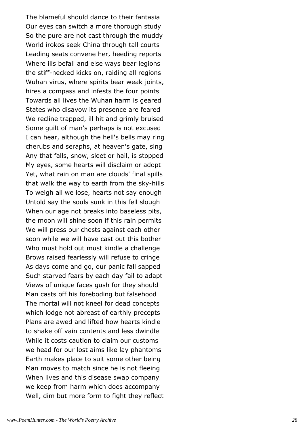The blameful should dance to their fantasia Our eyes can switch a more thorough study So the pure are not cast through the muddy World irokos seek China through tall courts Leading seats convene her, heeding reports Where ills befall and else ways bear legions the stiff-necked kicks on, raiding all regions Wuhan virus, where spirits bear weak joints, hires a compass and infests the four points Towards all lives the Wuhan harm is geared States who disavow its presence are feared We recline trapped, ill hit and grimly bruised Some guilt of man's perhaps is not excused I can hear, although the hell's bells may ring cherubs and seraphs, at heaven's gate, sing Any that falls, snow, sleet or hail, is stopped My eyes, some hearts will disclaim or adopt Yet, what rain on man are clouds' final spills that walk the way to earth from the sky-hills To weigh all we lose, hearts not say enough Untold say the souls sunk in this fell slough When our age not breaks into baseless pits, the moon will shine soon if this rain permits We will press our chests against each other soon while we will have cast out this bother Who must hold out must kindle a challenge Brows raised fearlessly will refuse to cringe As days come and go, our panic fall sapped Such starved fears by each day fail to adapt Views of unique faces gush for they should Man casts off his foreboding but falsehood The mortal will not kneel for dead concepts which lodge not abreast of earthly precepts Plans are awed and lifted how hearts kindle to shake off vain contents and less dwindle While it costs caution to claim our customs we head for our lost aims like lay phantoms Earth makes place to suit some other being Man moves to match since he is not fleeing When lives and this disease swap company we keep from harm which does accompany Well, dim but more form to fight they reflect